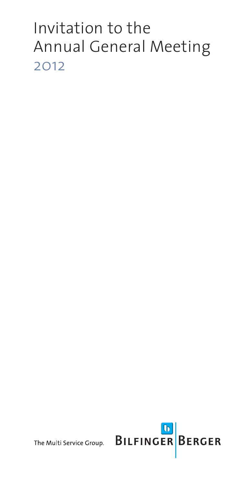# Invitation to the Annual General Meeting 2012

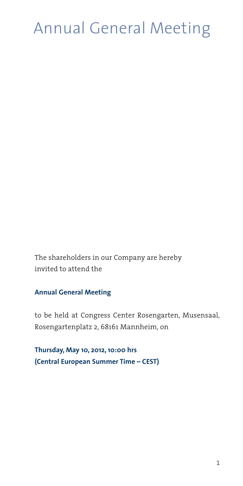# Annual General Meeting

The shareholders in our Company are hereby invited to attend the

#### **Annual General Meeting**

to be held at Congress Center Rosengarten, Musensaal, Rosengartenplatz 2, 68161 Mannheim, on

**Thursday, May 10, 2012, 10:00 hrs (Central European Summer Time – CEST)**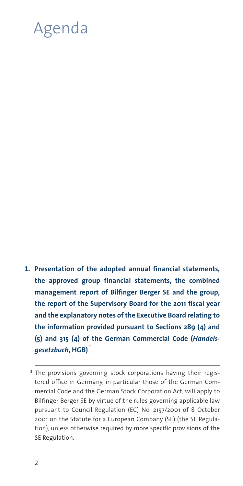# Agenda

**Presentation of the adopted annual financial statements, 1.the approved group financial statements, the combined management report of Bilfinger Berger SE and the group, the report of the Supervisory Board for the 2011 fiscal year and the explanatory notes of the Executive Board relating to the information provided pursuant to Sections 289 (4) and (5) and 315 (4) of the German Commercial Code (***Handels gesetzbuch***, HGB) <sup>1</sup>**

<sup>&</sup>lt;sup>1</sup> The provisions governing stock corporations having their registered office in Germany, in particular those of the German Commercial Code and the German Stock Corporation Act, will apply to Bilfinger Berger SE by virtue of the rules governing applicable law pursuant to Council Regulation (EC) No. 2157/2001 of 8 October 2001 on the Statute for a European Company (SE) (the SE Regulation), unless otherwise required by more specific provisions of the SE Regulation.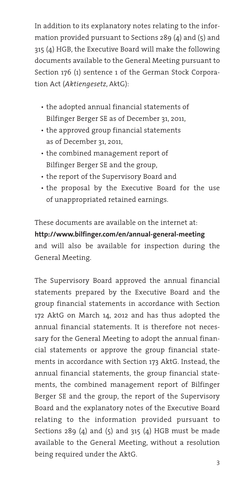In addition to its explanatory notes relating to the information provided pursuant to Sections 289 (4) and (5) and 315 (4) HGB, the Executive Board will make the following documents available to the General Meeting pursuant to Section 176 (1) sentence 1 of the German Stock Corporation Act (*Aktiengesetz*, AktG):

- the adopted annual financial statements of Bilfinger Berger SE as of December 31, 2011,
- the approved group financial statements as of December 31, 2011,
- the combined management report of Bilfinger Berger SE and the group,
- the report of the Supervisory Board and
- the proposal by the Executive Board for the use of unappropriated retained earnings.

These documents are available on the internet at**http://www.bilfinger.com/en/annual-general-meeting** and will also be available for inspection during the General Meeting.

The Supervisory Board approved the annual financial statements prepared by the Executive Board and the group financial statements in accordance with Section 172 AktG on March 14, 2012 and has thus adopted the annual financial statements. It is therefore not necessary for the General Meeting to adopt the annual financial statements or approve the group financial statements in accordance with Section 173 AktG. Instead, the annual financial statements, the group financial statements, the combined management report of Bilfinger Berger SE and the group, the report of the Supervisory Board and the explanatory notes of the Executive Board relating to the information provided pursuant to Sections 289 (4) and  $(5)$  and 315 (4) HGB must be made available to the General Meeting, without a resolution being required under the AktG.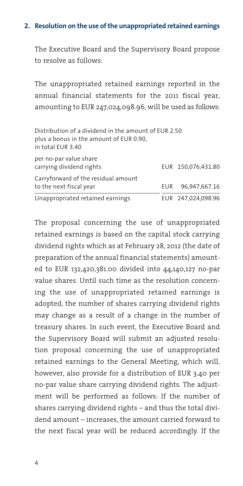#### **Resolution on the use of the unappropriated retained earnings 2.**

The Executive Board and the Supervisory Board propose to resolve as follows:

The unappropriated retained earnings reported in the annual financial statements for the 2011 fiscal year, amounting to EUR 247,024,098.96, will be used as follows:

| Distribution of a dividend in the amount of EUR 2.50<br>plus a bonus in the amount of EUR 0.90.<br>in total EUR 3.40 |     |                    |
|----------------------------------------------------------------------------------------------------------------------|-----|--------------------|
| per no-par value share<br>carrying dividend rights                                                                   |     | EUR 150,076,431.80 |
| Carryforward of the residual amount<br>to the next fiscal year                                                       | EUR | 96,947,667.16      |
| Unappropriated retained earnings                                                                                     |     | EUR 247,024,098.96 |

The proposal concerning the use of unappropriated retained earnings is based on the capital stock carrying dividend rights which as at February 28, 2012 (the date of preparation of the annual financial statements) amounted to EUR 132,420,381.00 divided into 44,140,127 no-par value shares. Until such time as the resolution concerning the use of unappropriated retained earnings is adopted, the number of shares carrying dividend rights may change as a result of a change in the number of treasury shares. In such event, the Executive Board and the Supervisory Board will submit an adjusted resolution proposal concerning the use of unappropriated retained earnings to the General Meeting, which will, however, also provide for a distribution of EUR 3.40 per no-par value share carrying dividend rights. The adjustment will be performed as follows: If the number of shares carrying dividend rights – and thus the total dividend amount – increases, the amount carried forward to the next fiscal year will be reduced accordingly. If the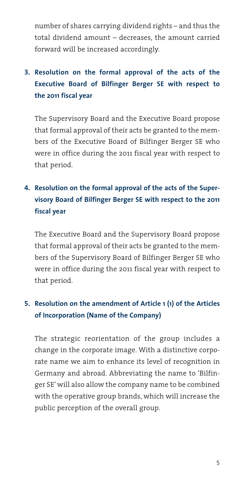number of shares carrying dividend rights – and thus the total dividend amount – decreases, the amount carried forward will be increased accordingly.

# **Resolution on the formal approval of the acts of the 3. Executive Board of Bilfinger Berger SE with respect to the 2011 fiscal year**

The Supervisory Board and the Executive Board propose that formal approval of their acts be granted to the members of the Executive Board of Bilfinger Berger SE who were in office during the 2011 fiscal year with respect to that period.

# **Resolution on the formal approval of the acts of the Super-4. visory Board of Bilfinger Berger SE with respect to the 2011 fiscal year**

The Executive Board and the Supervisory Board propose that formal approval of their acts be granted to the members of the Supervisory Board of Bilfinger Berger SE who were in office during the 2011 fiscal year with respect to that period.

# **Resolution on the amendment of Article 1 (1) of the Articles 5.of Incorporation (Name of the Company)**

The strategic reorientation of the group includes a change in the corporate image. With a distinctive corporate name we aim to enhance its level of recognition in Germany and abroad. Abbreviating the name to 'Bilfinger SE' will also allow the company name to be combined with the operative group brands, which will increase the public perception of the overall group.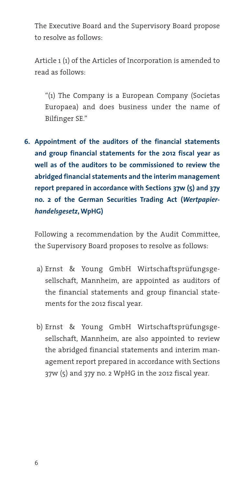The Executive Board and the Supervisory Board propose to resolve as follows:

Article 1 (1) of the Articles of Incorporation is amended to read as follows:

"(1) The Company is a European Company (Societas Europaea) and does business under the name of Bilfinger SE."

**Appointment of the auditors of the financial statements 6.and group financial statements for the 2012 fiscal year as well as of the auditors to be commissioned to review the abridged financial statements and the interim management report prepared in accordance with Sections 37w (5) and 37y no. 2 of the German Securities Trading Act (***Wertpapier handelsgesetz***, WpHG)**

Following a recommendation by the Audit Committee, the Supervisory Board proposes to resolve as follows:

- a) Ernst & Young GmbH Wirtschaftsprüfungsgesellschaft, Mannheim, are appointed as auditors of the financial statements and group financial statements for the 2012 fiscal year.
- b) Ernst & Young GmbH Wirtschaftsprüfungsgesellschaft, Mannheim, are also appointed to review the abridged financial statements and interim management report prepared in accordance with Sections 37w (5) and 37y no. 2 WpHG in the 2012 fiscal year.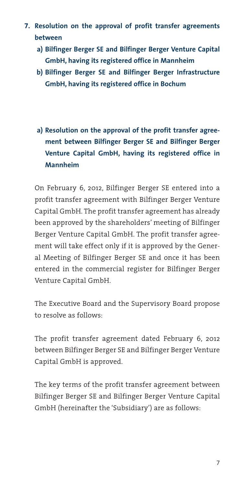- **Resolution on the approval of profit transfer agreements 7.between**
	- **a) Bilfinger Berger SE and Bilfinger Berger Venture Capital GmbH, having its registered office in Mannheim**
	- **b) Bilfinger Berger SE and Bilfinger Berger Infrastructure GmbH, having its registered office in Bochum**
	- **a) Resolution on the approval of the profit transfer agreement between Bilfinger Berger SE and Bilfinger Berger Venture Capital GmbH, having its registered office in Mannheim**

On February 6, 2012, Bilfinger Berger SE entered into a profit transfer agreement with Bilfinger Berger Venture Capital GmbH. The profit transfer agreement has already been approved by the shareholders' meeting of Bilfinger Berger Venture Capital GmbH. The profit transfer agreement will take effect only if it is approved by the General Meeting of Bilfinger Berger SE and once it has been entered in the commercial register for Bilfinger Berger Venture Capital GmbH.

The Executive Board and the Supervisory Board propose to resolve as follows:

The profit transfer agreement dated February 6, 2012 between Bilfinger Berger SE and Bilfinger Berger Venture Capital GmbH is approved.

The key terms of the profit transfer agreement between Bilfinger Berger SE and Bilfinger Berger Venture Capital GmbH (hereinafter the 'Subsidiary') are as follows: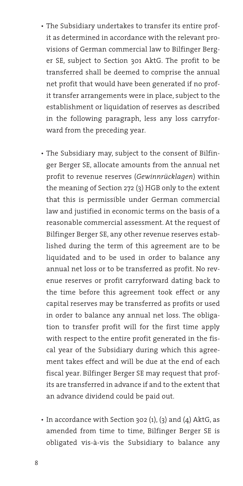- The Subsidiary undertakes to transfer its entire profit as determined in accordance with the relevant provisions of German commercial law to Bilfinger Berger SE, subject to Section 301 AktG. The profit to be transferred shall be deemed to comprise the annual net profit that would have been generated if no profit transfer arrangements were in place, subject to the establishment or liquidation of reserves as described in the following paragraph, less any loss carryforward from the preceding year.
- The Subsidiary may, subject to the consent of Bilfinger Berger SE, allocate amounts from the annual net profit to revenue reserves (*Gewinnrücklagen*) within the meaning of Section 272 (3) HGB only to the extent that this is permissible under German commercial law and justified in economic terms on the basis of a reasonable commercial assessment. At the request of Bilfinger Berger SE, any other revenue reserves established during the term of this agreement are to be liquidated and to be used in order to balance any annual net loss or to be transferred as profit. No revenue reserves or profit carryforward dating back to the time before this agreement took effect or any capital reserves may be transferred as profits or used in order to balance any annual net loss. The obligation to transfer profit will for the first time apply with respect to the entire profit generated in the fiscal year of the Subsidiary during which this agreement takes effect and will be due at the end of each fiscal year. Bilfinger Berger SE may request that profits are transferred in advance if and to the extent that an advance dividend could be paid out.
- In accordance with Section 302 (1), (3) and (4) AktG, as amended from time to time, Bilfinger Berger SE is obligated vis-à-vis the Subsidiary to balance any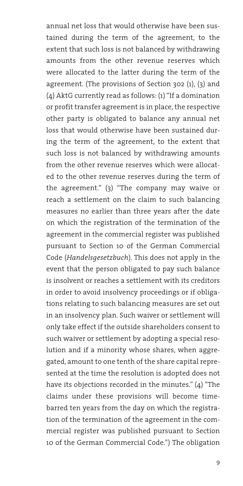annual net loss that would otherwise have been sustained during the term of the agreement, to the extent that such loss is not balanced by withdrawing amounts from the other revenue reserves which were allocated to the latter during the term of the agreement. (The provisions of Section 302 (1), (3) and (4) AktG currently read as follows: (1) "If a domination or profit transfer agreement is in place, the respective other party is obligated to balance any annual net loss that would otherwise have been sustained during the term of the agreement, to the extent that such loss is not balanced by withdrawing amounts from the other revenue reserves which were allocated to the other revenue reserves during the term of the agreement." (3) "The company may waive or reach a settlement on the claim to such balancing measures no earlier than three years after the date on which the registration of the termination of the agreement in the commercial register was published pursuant to Section 10 of the German Commercial Code (*Handelsgesetzbuch*). This does not apply in the event that the person obligated to pay such balance is insolvent or reaches a settlement with its creditors in order to avoid insolvency proceedings or if obligations relating to such balancing measures are set out in an insolvency plan. Such waiver or settlement will only take effect if the outside shareholders consent to such waiver or settlement by adopting a special resolution and if a minority whose shares, when aggregated, amount to one tenth of the share capital represented at the time the resolution is adopted does not have its objections recorded in the minutes." (4) "The claims under these provisions will become timebarred ten years from the day on which the registration of the termination of the agreement in the commercial register was published pursuant to Section 10 of the German Commercial Code.") The obligation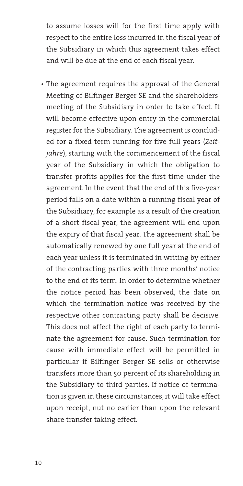to assume losses will for the first time apply with respect to the entire loss incurred in the fiscal year of the Subsidiary in which this agreement takes effect and will be due at the end of each fiscal year.

• The agreement requires the approval of the General Meeting of Bilfinger Berger SE and the shareholders' meeting of the Subsidiary in order to take effect. It will become effective upon entry in the commercial register for the Subsidiary. The agreement is concluded for a fixed term running for five full years (*Zeitjahre*), starting with the commencement of the fiscal year of the Subsidiary in which the obligation to transfer profits applies for the first time under the agreement. In the event that the end of this five-year period falls on a date within a running fiscal year of the Subsidiary, for example as a result of the creation of a short fiscal year, the agreement will end upon the expiry of that fiscal year. The agreement shall be automatically renewed by one full year at the end of each year unless it is terminated in writing by either of the contracting parties with three months' notice to the end of its term. In order to determine whether the notice period has been observed, the date on which the termination notice was received by the respective other contracting party shall be decisive. This does not affect the right of each party to terminate the agreement for cause. Such termination for cause with immediate effect will be permitted in particular if Bilfinger Berger SE sells or otherwise transfers more than 50 percent of its shareholding in the Subsidiary to third parties. If notice of termination is given in these circumstances, it will take effect upon receipt, nut no earlier than upon the relevant share transfer taking effect.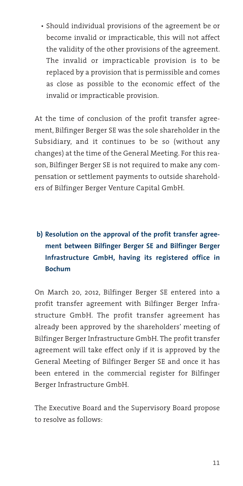• Should individual provisions of the agreement be or become invalid or impracticable, this will not affect the validity of the other provisions of the agreement. The invalid or impracticable provision is to be replaced by a provision that is permissible and comes as close as possible to the economic effect of the invalid or impracticable provision.

At the time of conclusion of the profit transfer agreement, Bilfinger Berger SE was the sole shareholder in the Subsidiary, and it continues to be so (without any changes) at the time of the General Meeting. For this reason, Bilfinger Berger SE is not required to make any compensation or settlement payments to outside shareholders of Bilfinger Berger Venture Capital GmbH.

# **b) Resolution on the approval of the profit transfer agreement between Bilfinger Berger SE and Bilfinger Berger Infrastructure GmbH, having its registered office in Bochum**

On March 20, 2012, Bilfinger Berger SE entered into a profit transfer agreement with Bilfinger Berger Infrastructure GmbH. The profit transfer agreement has already been approved by the shareholders' meeting of Bilfinger Berger Infrastructure GmbH. The profit transfer agreement will take effect only if it is approved by the General Meeting of Bilfinger Berger SE and once it has been entered in the commercial register for Bilfinger Berger Infrastructure GmbH.

The Executive Board and the Supervisory Board propose to resolve as follows: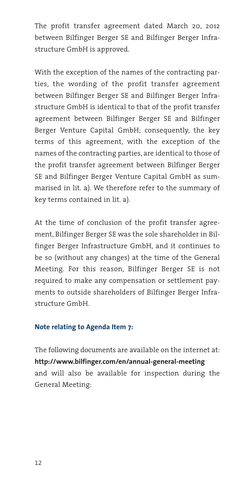The profit transfer agreement dated March 20, 2012 between Bilfinger Berger SE and Bilfinger Berger Infrastructure GmbH is approved.

With the exception of the names of the contracting parties, the wording of the profit transfer agreement between Bilfinger Berger SE and Bilfinger Berger Infrastructure GmbH is identical to that of the profit transfer agreement between Bilfinger Berger SE and Bilfinger Berger Venture Capital GmbH; consequently, the key terms of this agreement, with the exception of the names of the contracting parties, are identical to those of the profit transfer agreement between Bilfinger Berger SE and Bilfinger Berger Venture Capital GmbH as summarised in lit. a). We therefore refer to the summary of key terms contained in lit. a).

At the time of conclusion of the profit transfer agreement, Bilfinger Berger SE was the sole shareholder in Bilfinger Berger Infrastructure GmbH, and it continues to be so (without any changes) at the time of the General Meeting. For this reason, Bilfinger Berger SE is not required to make any compensation or settlement payments to outside shareholders of Bilfinger Berger Infrastructure GmbH.

#### **Note relating to Agenda Item 7:**

The following documents are available on the internet at: **http://www.bilfinger.com/en/annual-general-meeting** and will also be available for inspection during the General Meeting: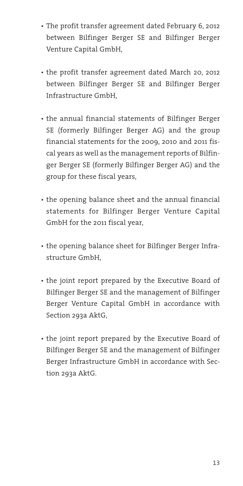- The profit transfer agreement dated February 6, 2012 between Bilfinger Berger SE and Bilfinger Berger Venture Capital GmbH,
- the profit transfer agreement dated March 20, 2012 between Bilfinger Berger SE and Bilfinger Berger Infrastructure GmbH,
- the annual financial statements of Bilfinger Berger SE (formerly Bilfinger Berger AG) and the group financial statements for the 2009, 2010 and 2011 fiscal years as well as the management reports of Bilfinger Berger SE (formerly Bilfinger Berger AG) and the group for these fiscal years,
- the opening balance sheet and the annual financial statements for Bilfinger Berger Venture Capital GmbH for the 2011 fiscal year,
- the opening balance sheet for Bilfinger Berger Infrastructure GmbH,
- the joint report prepared by the Executive Board of Bilfinger Berger SE and the management of Bilfinger Berger Venture Capital GmbH in accordance with Section 293a AktG,
- the joint report prepared by the Executive Board of Bilfinger Berger SE and the management of Bilfinger Berger Infrastructure GmbH in accordance with Section 293a AktG.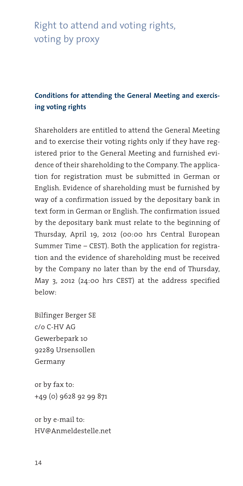# Right to attend and voting rights, voting by proxy

# **Conditions for attending the General Meeting and exercising voting rights**

Shareholders are entitled to attend the General Meeting and to exercise their voting rights only if they have registered prior to the General Meeting and furnished evidence of their shareholding to the Company. The application for registration must be submitted in German or English. Evidence of shareholding must be furnished by way of a confirmation issued by the depositary bank in text form in German or English. The confirmation issued by the depositary bank must relate to the beginning of Thursday, April 19, 2012 (00:00 hrs Central European Summer Time – CEST). Both the application for registration and the evidence of shareholding must be received by the Company no later than by the end of Thursday, May 3, 2012 (24:00 hrs CEST) at the address specified below:

Bilfinger Berger SE c/o C-HV AG Gewerbepark 10 92289 Ursensollen Germany

or by fax to: +49 (0) 9628 92 99 871

or by e-mail to: HV@Anmeldestelle.net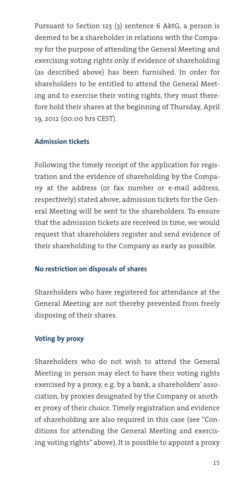Pursuant to Section 123 (3) sentence 6 AktG, a person is deemed to be a shareholder in relations with the Company for the purpose of attending the General Meeting and exercising voting rights only if evidence of shareholding (as described above) has been furnished. In order for shareholders to be entitled to attend the General Meeting and to exercise their voting rights, they must therefore hold their shares at the beginning of Thursday, April 19, 2012 (00:00 hrs CEST).

#### **Admission tickets**

Following the timely receipt of the application for registration and the evidence of shareholding by the Company at the address (or fax number or e-mail address, respectively) stated above, admission tickets for the General Meeting will be sent to the shareholders. To ensure that the admission tickets are received in time, we would request that shareholders register and send evidence of their shareholding to the Company as early as possible.

#### **No restriction on disposals of shares**

Shareholders who have registered for attendance at the General Meeting are not thereby prevented from freely disposing of their shares.

### **Voting by proxy**

Shareholders who do not wish to attend the General Meeting in person may elect to have their voting rights exercised by a proxy, e.g. by a bank, a shareholders' association, by proxies designated by the Company or another proxy of their choice. Timely registration and evidence of shareholding are also required in this case (see "Conditions for attending the General Meeting and exercising voting rights" above). It is possible to appoint a proxy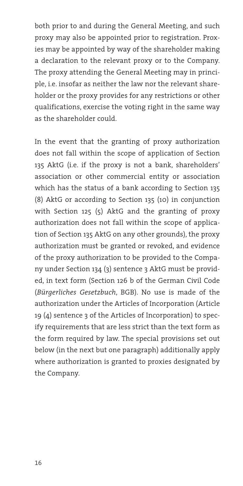both prior to and during the General Meeting, and such proxy may also be appointed prior to registration. Proxies may be appointed by way of the shareholder making a declaration to the relevant proxy or to the Company. The proxy attending the General Meeting may in principle, i.e. insofar as neither the law nor the relevant shareholder or the proxy provides for any restrictions or other qualifications, exercise the voting right in the same way as the shareholder could.

In the event that the granting of proxy authorization does not fall within the scope of application of Section 135 AktG (i.e. if the proxy is not a bank, shareholders' association or other commercial entity or association which has the status of a bank according to Section 135 (8) AktG or according to Section 135 (10) in conjunction with Section 125 (5) AktG and the granting of proxy authorization does not fall within the scope of application of Section 135 AktG on any other grounds), the proxy authorization must be granted or revoked, and evidence of the proxy authorization to be provided to the Company under Section 134 (3) sentence 3 AktG must be provided, in text form (Section 126 b of the German Civil Code (*Bürgerliches Gesetzbuch*, BGB). No use is made of the authorization under the Articles of Incorporation (Article 19 (4) sentence 3 of the Articles of Incorporation) to specify requirements that are less strict than the text form as the form required by law. The special provisions set out below (in the next but one paragraph) additionally apply where authorization is granted to proxies designated by the Company.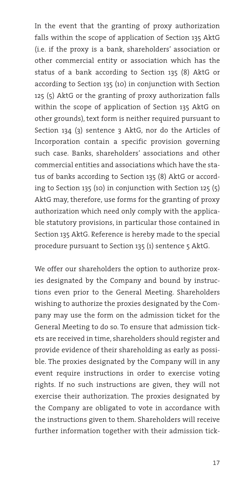In the event that the granting of proxy authorization falls within the scope of application of Section 135 AktG (i.e. if the proxy is a bank, shareholders' association or other commercial entity or association which has the status of a bank according to Section 135 (8) AktG or according to Section 135 (10) in conjunction with Section 125 (5) AktG or the granting of proxy authorization falls within the scope of application of Section 135 AktG on other grounds), text form is neither required pursuant to Section 134 (3) sentence 3 AktG, nor do the Articles of Incorporation contain a specific provision governing such case. Banks, shareholders' associations and other commercial entities and associations which have the status of banks according to Section 135 (8) AktG or according to Section 135 (10) in conjunction with Section 125 (5) AktG may, therefore, use forms for the granting of proxy authorization which need only comply with the applicable statutory provisions, in particular those contained in Section 135 AktG. Reference is hereby made to the special procedure pursuant to Section 135 (1) sentence 5 AktG.

We offer our shareholders the option to authorize proxies designated by the Company and bound by instructions even prior to the General Meeting. Shareholders wishing to authorize the proxies designated by the Company may use the form on the admission ticket for the General Meeting to do so. To ensure that admission tickets are received in time, shareholders should register and provide evidence of their shareholding as early as possible. The proxies designated by the Company will in any event require instructions in order to exercise voting rights. If no such instructions are given, they will not exercise their authorization. The proxies designated by the Company are obligated to vote in accordance with the instructions given to them. Shareholders will receive further information together with their admission tick-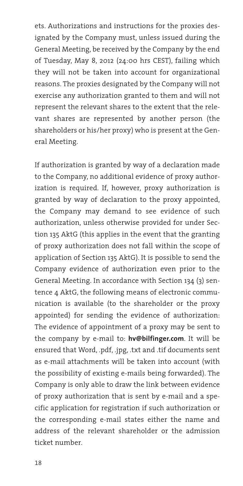ets. Authorizations and instructions for the proxies designated by the Company must, unless issued during the General Meeting, be received by the Company by the end of Tuesday, May 8, 2012 (24:00 hrs CEST), failing which they will not be taken into account for organizational reasons. The proxies designated by the Company will not exercise any authorization granted to them and will not represent the relevant shares to the extent that the relevant shares are represented by another person (the shareholders or his/her proxy) who is present at the General Meeting.

If authorization is granted by way of a declaration made to the Company, no additional evidence of proxy authorization is required. If, however, proxy authorization is granted by way of declaration to the proxy appointed, the Company may demand to see evidence of such authorization, unless otherwise provided for under Section 135 AktG (this applies in the event that the granting of proxy authorization does not fall within the scope of application of Section 135 AktG). It is possible to send the Company evidence of authorization even prior to the General Meeting. In accordance with Section 134 (3) sentence 4 AktG, the following means of electronic communication is available (to the shareholder or the proxy appointed) for sending the evidence of authorization: The evidence of appointment of a proxy may be sent to the company by e-mail to: **hv@bilfinger.com**. It will be ensured that Word, .pdf, .jpg, .txt and .tif documents sent as e-mail attachments will be taken into account (with the possibility of existing e-mails being forwarded). The Company is only able to draw the link between evidence of proxy authorization that is sent by e-mail and a specific application for registration if such authorization or the corresponding e-mail states either the name and address of the relevant shareholder or the admission ticket number.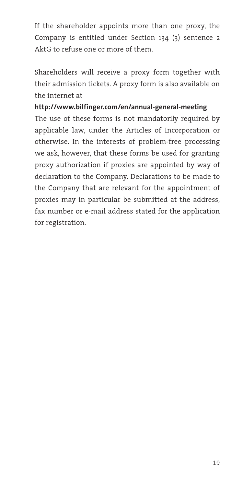If the shareholder appoints more than one proxy, the Company is entitled under Section 134 (3) sentence 2 AktG to refuse one or more of them.

Shareholders will receive a proxy form together with their admission tickets. A proxy form is also available on the internet at

#### **http://www.bilfinger.com/en/annual-general-meeting**

The use of these forms is not mandatorily required by applicable law, under the Articles of Incorporation or otherwise. In the interests of problem-free processing we ask, however, that these forms be used for granting proxy authorization if proxies are appointed by way of declaration to the Company. Declarations to be made to the Company that are relevant for the appointment of proxies may in particular be submitted at the address, fax number or e-mail address stated for the application for registration.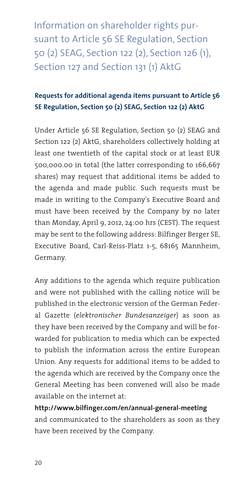Information on shareholder rights pursuant to Article 56 SE Regulation, Section 50 (2) SEAG, Section 122 (2), Section 126 (1), Section 127 and Section 131 (1) AktG

# **Requests for additional agenda items pursuant to Article 56 SE Regulation, Section 50 (2) SEAG, Section 122 (2) AktG**

Under Article 56 SE Regulation, Section 50 (2) SEAG and Section 122 (2) AktG, shareholders collectively holding at least one twentieth of the capital stock or at least EUR 500,000.00 in total (the latter corresponding to 166,667 shares) may request that additional items be added to the agenda and made public. Such requests must be made in writing to the Company's Executive Board and must have been received by the Company by no later than Monday, April 9, 2012, 24:00 hrs (CEST). The request may be sent to the following address: Bilfinger Berger SE, Executive Board, Carl-Reiss-Platz 1-5, 68165 Mannheim, Germany.

Any additions to the agenda which require publication and were not published with the calling notice will be published in the electronic version of the German Federal Gazette (*elektronischer Bundesanzeiger*) as soon as they have been received by the Company and will be forwarded for publication to media which can be expected to publish the information across the entire European Union. Any requests for additional items to be added to the agenda which are received by the Company once the General Meeting has been convened will also be made available on the internet at:

**http://www.bilfinger.com/en/annual-general-meeting** and communicated to the shareholders as soon as they have been received by the Company.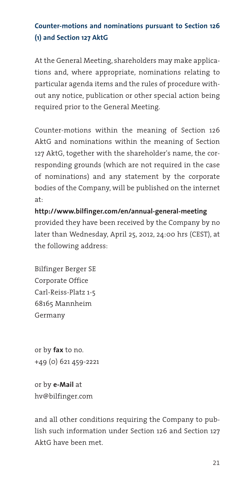# **Counter-motions and nominations pursuant to Section 126 (1) and Section 127 AktG**

At the General Meeting, shareholders may make applications and, where appropriate, nominations relating to particular agenda items and the rules of procedure without any notice, publication or other special action being required prior to the General Meeting.

Counter-motions within the meaning of Section 126 AktG and nominations within the meaning of Section 127 AktG, together with the shareholder's name, the corresponding grounds (which are not required in the case of nominations) and any statement by the corporate bodies of the Company, will be published on the internet at:

**http://www.bilfinger.com/en/annual-general-meeting** provided they have been received by the Company by no later than Wednesday, April 25, 2012, 24:00 hrs (CEST), at the following address:

Bilfinger Berger SE Corporate Office Carl-Reiss-Platz 1-5 68165 Mannheim Germany

or by **fax** to no. +49 (0) 621 459-2221

or by **e-Mail** at hv@bilfinger.com

and all other conditions requiring the Company to publish such information under Section 126 and Section 127 AktG have been met.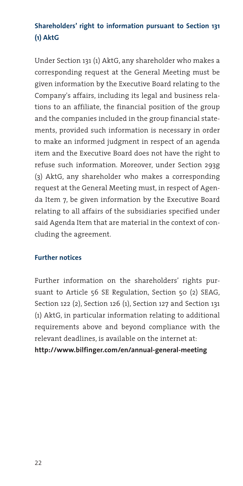# **Shareholders' right to information pursuant to Section 131 (1) AktG**

Under Section 131 (1) AktG, any shareholder who makes a corresponding request at the General Meeting must be given information by the Executive Board relating to the Company's affairs, including its legal and business relations to an affiliate, the financial position of the group and the companies included in the group financial statements, provided such information is necessary in order to make an informed judgment in respect of an agenda item and the Executive Board does not have the right to refuse such information. Moreover, under Section 293g (3) AktG, any shareholder who makes a corresponding request at the General Meeting must, in respect of Agenda Item 7, be given information by the Executive Board relating to all affairs of the subsidiaries specified under said Agenda Item that are material in the context of concluding the agreement.

#### **Further notices**

Further information on the shareholders' rights pursuant to Article 56 SE Regulation, Section 50 (2) SEAG, Section 122 (2), Section 126 (1), Section 127 and Section 131 (1) AktG, in particular information relating to additional requirements above and beyond compliance with the relevant deadlines, is available on the internet at:

**http://www.bilfinger.com/en/annual-general-meeting**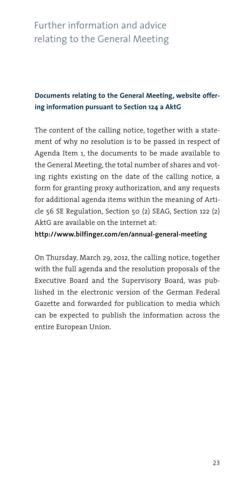# Further information and advice relating to the General Meeting

# **Documents relating to the General Meeting, website offering information pursuant to Section 124 a AktG**

The content of the calling notice, together with a statement of why no resolution is to be passed in respect of Agenda Item 1, the documents to be made available to the General Meeting, the total number of shares and voting rights existing on the date of the calling notice, a form for granting proxy authorization, and any requests for additional agenda items within the meaning of Article 56 SE Regulation, Section 50 (2) SEAG, Section 122 (2) AktG are available on the internet at:

#### **http://www.bilfinger.com/en/annual-general-meeting**

On Thursday, March 29, 2012, the calling notice, together with the full agenda and the resolution proposals of the Executive Board and the Supervisory Board, was published in the electronic version of the German Federal Gazette and forwarded for publication to media which can be expected to publish the information across the entire European Union.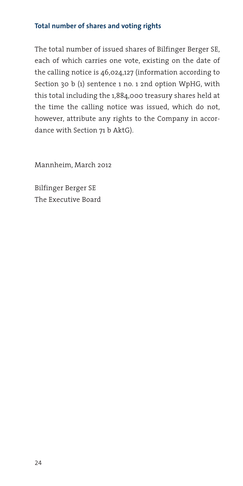#### **Total number of shares and voting rights**

The total number of issued shares of Bilfinger Berger SE, each of which carries one vote, existing on the date of the calling notice is 46,024,127 (information according to Section 30 b (1) sentence 1 no. 1 2nd option WpHG, with this total including the 1,884,000 treasury shares held at the time the calling notice was issued, which do not, however, attribute any rights to the Company in accordance with Section 71 b AktG).

Mannheim, March 2012

Bilfinger Berger SE The Executive Board